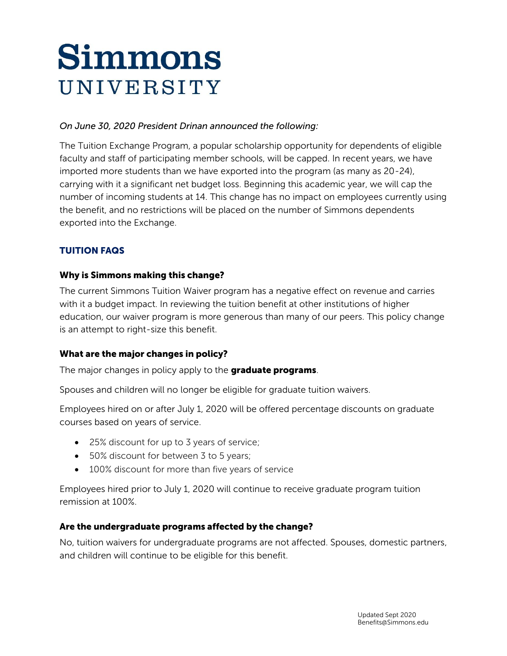# Simmons UNIVERSITY

## *On June 30, 2020 President Drinan announced the following:*

The Tuition Exchange Program, a popular scholarship opportunity for dependents of eligible faculty and staff of participating member schools, will be capped. In recent years, we have imported more students than we have exported into the program (as many as 20-24), carrying with it a significant net budget loss. Beginning this academic year, we will cap the number of incoming students at 14. This change has no impact on employees currently using the benefit, and no restrictions will be placed on the number of Simmons dependents exported into the Exchange.

# TUITION FAQS

## Why is Simmons making this change?

The current Simmons Tuition Waiver program has a negative effect on revenue and carries with it a budget impact. In reviewing the tuition benefit at other institutions of higher education, our waiver program is more generous than many of our peers. This policy change is an attempt to right-size this benefit.

## What are the major changes in policy?

The major changes in policy apply to the **graduate programs**.

Spouses and children will no longer be eligible for graduate tuition waivers.

Employees hired on or after July 1, 2020 will be offered percentage discounts on graduate courses based on years of service.

- 25% discount for up to 3 years of service;
- 50% discount for between 3 to 5 years;
- 100% discount for more than five years of service

Employees hired prior to July 1, 2020 will continue to receive graduate program tuition remission at 100%.

## Are the undergraduate programs affected by the change?

No, tuition waivers for undergraduate programs are not affected. Spouses, domestic partners, and children will continue to be eligible for this benefit.